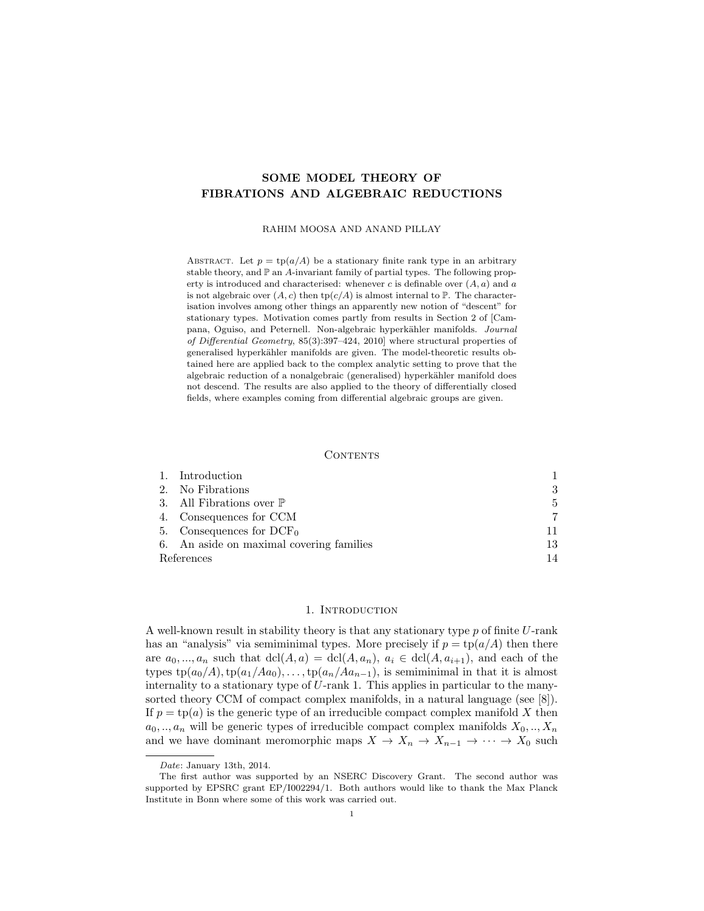# SOME MODEL THEORY OF FIBRATIONS AND ALGEBRAIC REDUCTIONS

#### RAHIM MOOSA AND ANAND PILLAY

ABSTRACT. Let  $p = \text{tp}(a/A)$  be a stationary finite rank type in an arbitrary stable theory, and  $\mathbb P$  an A-invariant family of partial types. The following property is introduced and characterised: whenever c is definable over  $(A, a)$  and a is not algebraic over  $(A, c)$  then  $tp(c/A)$  is almost internal to  $\mathbb P$ . The characterisation involves among other things an apparently new notion of "descent" for stationary types. Motivation comes partly from results in Section 2 of [Campana, Oguiso, and Peternell. Non-algebraic hyperkähler manifolds. Journal of Differential Geometry, 85(3):397–424, 2010] where structural properties of generalised hyperkähler manifolds are given. The model-theoretic results obtained here are applied back to the complex analytic setting to prove that the algebraic reduction of a nonalgebraic (generalised) hyperkähler manifold does not descend. The results are also applied to the theory of differentially closed fields, where examples coming from differential algebraic groups are given.

#### **CONTENTS**

|            | 1. Introduction                          |    |
|------------|------------------------------------------|----|
|            | 2. No Fibrations                         |    |
|            | 3. All Fibrations over $\mathbb P$       | 5  |
|            | 4. Consequences for CCM                  |    |
|            | 5. Consequences for $DCF_0$              |    |
|            | 6. An aside on maximal covering families | 13 |
| References |                                          |    |

#### 1. INTRODUCTION

A well-known result in stability theory is that any stationary type  $p$  of finite  $U$ -rank has an "analysis" via semiminimal types. More precisely if  $p = \text{tp}(a/A)$  then there are  $a_0, ..., a_n$  such that  $\text{dcl}(A, a) = \text{dcl}(A, a_n), a_i \in \text{dcl}(A, a_{i+1}),$  and each of the types  $tp(a_0/A)$ ,  $tp(a_1/Aa_0)$ , ...,  $tp(a_n/Aa_{n-1})$ , is semiminimal in that it is almost internality to a stationary type of U-rank 1. This applies in particular to the manysorted theory CCM of compact complex manifolds, in a natural language (see [8]). If  $p = \text{tp}(a)$  is the generic type of an irreducible compact complex manifold X then  $a_0, \ldots, a_n$  will be generic types of irreducible compact complex manifolds  $X_0, \ldots, X_n$ and we have dominant meromorphic maps  $X \to X_n \to X_{n-1} \to \cdots \to X_0$  such

Date: January 13th, 2014.

The first author was supported by an NSERC Discovery Grant. The second author was supported by EPSRC grant EP/I002294/1. Both authors would like to thank the Max Planck Institute in Bonn where some of this work was carried out.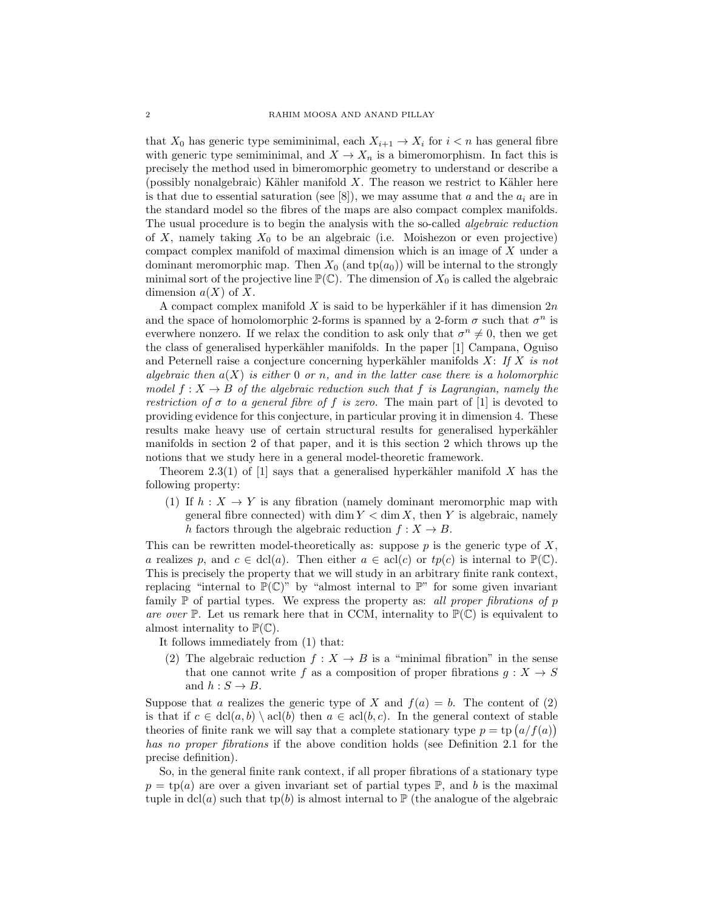that  $X_0$  has generic type semiminimal, each  $X_{i+1} \to X_i$  for  $i < n$  has general fibre with generic type semiminimal, and  $X \to X_n$  is a bimeromorphism. In fact this is precisely the method used in bimeromorphic geometry to understand or describe a (possibly nonalgebraic) Kähler manifold  $X$ . The reason we restrict to Kähler here is that due to essential saturation (see [8]), we may assume that a and the  $a_i$  are in the standard model so the fibres of the maps are also compact complex manifolds. The usual procedure is to begin the analysis with the so-called *algebraic reduction* of X, namely taking  $X_0$  to be an algebraic (i.e. Moishezon or even projective) compact complex manifold of maximal dimension which is an image of X under a dominant meromorphic map. Then  $X_0$  (and tp( $a_0$ )) will be internal to the strongly minimal sort of the projective line  $\mathbb{P}(\mathbb{C})$ . The dimension of  $X_0$  is called the algebraic dimension  $a(X)$  of X.

A compact complex manifold X is said to be hyperkähler if it has dimension  $2n$ and the space of homolomorphic 2-forms is spanned by a 2-form  $\sigma$  such that  $\sigma^n$  is everwhere nonzero. If we relax the condition to ask only that  $\sigma^n \neq 0$ , then we get the class of generalised hyperkähler manifolds. In the paper [1] Campana, Oguiso and Peternell raise a conjecture concerning hyperkähler manifolds  $X: If X is not$ algebraic then  $a(X)$  is either 0 or n, and in the latter case there is a holomorphic model  $f: X \to B$  of the algebraic reduction such that f is Lagrangian, namely the restriction of  $\sigma$  to a general fibre of f is zero. The main part of [1] is devoted to providing evidence for this conjecture, in particular proving it in dimension 4. These results make heavy use of certain structural results for generalised hyperkähler manifolds in section 2 of that paper, and it is this section 2 which throws up the notions that we study here in a general model-theoretic framework.

Theorem 2.3(1) of [1] says that a generalised hyperkähler manifold X has the following property:

(1) If  $h: X \to Y$  is any fibration (namely dominant meromorphic map with general fibre connected) with dim  $Y < \dim X$ , then Y is algebraic, namely h factors through the algebraic reduction  $f : X \to B$ .

This can be rewritten model-theoretically as: suppose  $p$  is the generic type of  $X$ , a realizes p, and  $c \in \text{dcl}(a)$ . Then either  $a \in \text{acl}(c)$  or  $tp(c)$  is internal to  $\mathbb{P}(\mathbb{C})$ . This is precisely the property that we will study in an arbitrary finite rank context, replacing "internal to  $\mathbb{P}(\mathbb{C})$ " by "almost internal to  $\mathbb{P}$ " for some given invariant family  $\mathbb P$  of partial types. We express the property as: all proper fibrations of p are over  $\mathbb P$ . Let us remark here that in CCM, internality to  $\mathbb P(\mathbb C)$  is equivalent to almost internality to  $\mathbb{P}(\mathbb{C})$ .

- It follows immediately from (1) that:
- (2) The algebraic reduction  $f: X \to B$  is a "minimal fibration" in the sense that one cannot write f as a composition of proper fibrations  $g: X \to S$ and  $h: S \to B$ .

Suppose that a realizes the generic type of X and  $f(a) = b$ . The content of (2) is that if  $c \in \text{dcl}(a, b) \setminus \text{acl}(b)$  then  $a \in \text{acl}(b, c)$ . In the general context of stable theories of finite rank we will say that a complete stationary type  $p = \text{tp}(a/f(a))$ has no proper fibrations if the above condition holds (see Definition 2.1 for the precise definition).

So, in the general finite rank context, if all proper fibrations of a stationary type  $p = \text{tp}(a)$  are over a given invariant set of partial types  $\mathbb{P}$ , and b is the maximal tuple in dcl(a) such that tp(b) is almost internal to  $\mathbb{P}$  (the analogue of the algebraic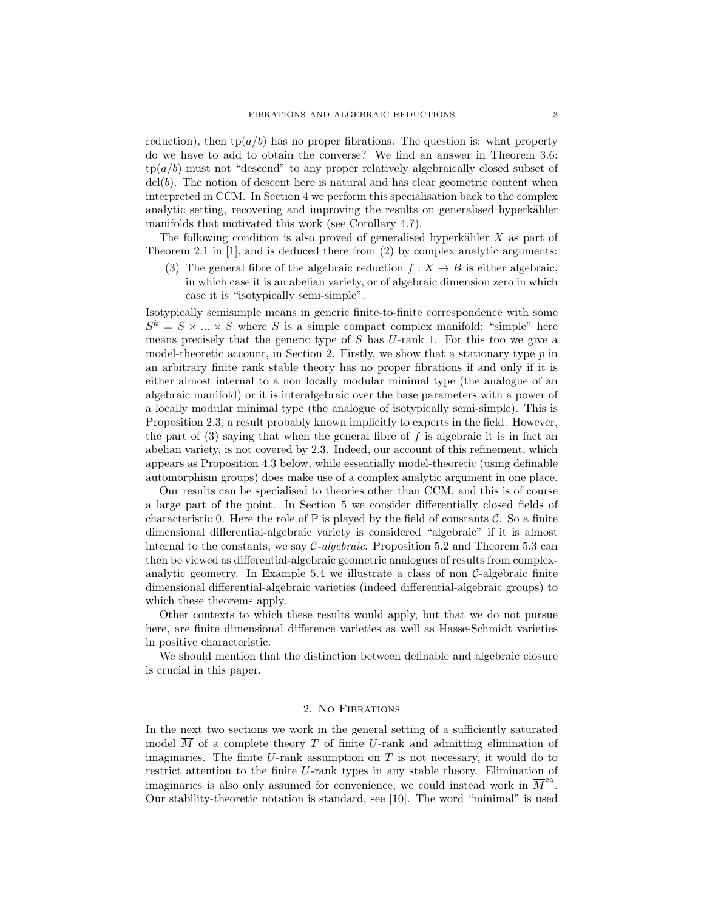reduction), then tp( $a/b$ ) has no proper fibrations. The question is: what property do we have to add to obtain the converse? We find an answer in Theorem 3.6:  $tp(a/b)$  must not "descend" to any proper relatively algebraically closed subset of  $\text{dcl}(b)$ . The notion of descent here is natural and has clear geometric content when interpreted in CCM. In Section 4 we perform this specialisation back to the complex analytic setting, recovering and improving the results on generalised hyperkähler manifolds that motivated this work (see Corollary 4.7).

The following condition is also proved of generalised hyperkähler  $X$  as part of Theorem 2.1 in [1], and is deduced there from (2) by complex analytic arguments:

(3) The general fibre of the algebraic reduction  $f : X \to B$  is either algebraic, in which case it is an abelian variety, or of algebraic dimension zero in which case it is "isotypically semi-simple".

Isotypically semisimple means in generic finite-to-finite correspondence with some  $S^k = S \times \ldots \times S$  where S is a simple compact complex manifold; "simple" here means precisely that the generic type of  $S$  has  $U$ -rank 1. For this too we give a model-theoretic account, in Section 2. Firstly, we show that a stationary type  $p$  in an arbitrary finite rank stable theory has no proper fibrations if and only if it is either almost internal to a non locally modular minimal type (the analogue of an algebraic manifold) or it is interalgebraic over the base parameters with a power of a locally modular minimal type (the analogue of isotypically semi-simple). This is Proposition 2.3, a result probably known implicitly to experts in the field. However, the part of  $(3)$  saying that when the general fibre of f is algebraic it is in fact an abelian variety, is not covered by 2.3. Indeed, our account of this refinement, which appears as Proposition 4.3 below, while essentially model-theoretic (using definable automorphism groups) does make use of a complex analytic argument in one place.

Our results can be specialised to theories other than CCM, and this is of course a large part of the point. In Section 5 we consider differentially closed fields of characteristic 0. Here the role of  $\mathbb P$  is played by the field of constants C. So a finite dimensional differential-algebraic variety is considered "algebraic" if it is almost internal to the constants, we say  $C$ -algebraic. Proposition 5.2 and Theorem 5.3 can then be viewed as differential-algebraic geometric analogues of results from complexanalytic geometry. In Example 5.4 we illustrate a class of non C-algebraic finite dimensional differential-algebraic varieties (indeed differential-algebraic groups) to which these theorems apply.

Other contexts to which these results would apply, but that we do not pursue here, are finite dimensional difference varieties as well as Hasse-Schmidt varieties in positive characteristic.

We should mention that the distinction between definable and algebraic closure is crucial in this paper.

# 2. No Fibrations

In the next two sections we work in the general setting of a sufficiently saturated model M of a complete theory T of finite U-rank and admitting elimination of imaginaries. The finite  $U$ -rank assumption on  $T$  is not necessary, it would do to restrict attention to the finite U-rank types in any stable theory. Elimination of imaginaries is also only assumed for convenience, we could instead work in  $\overline{M}^{\text{eq}}$ . Our stability-theoretic notation is standard, see [10]. The word "minimal" is used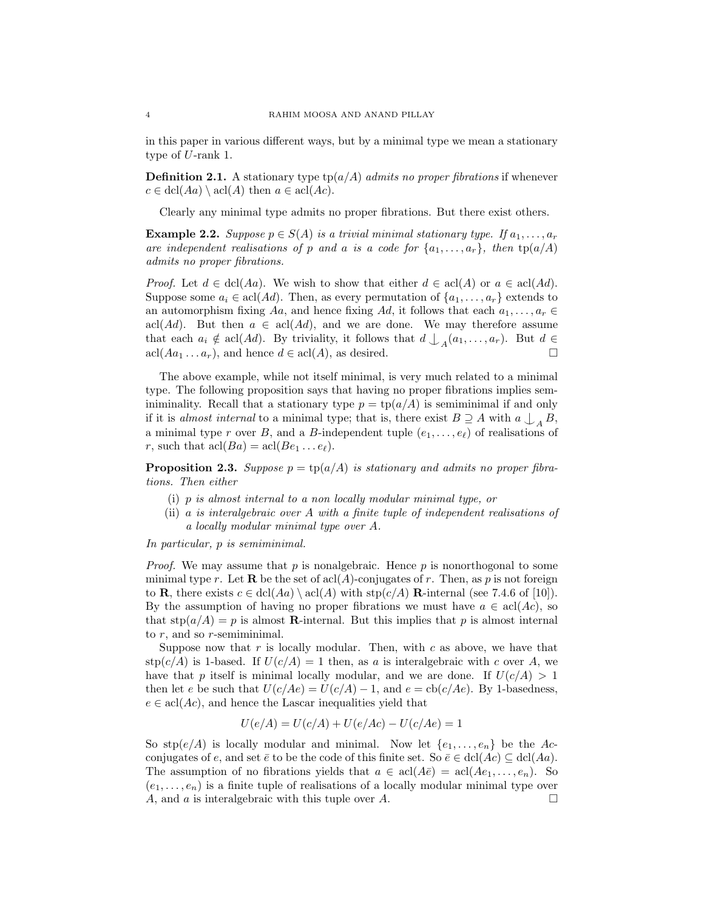in this paper in various different ways, but by a minimal type we mean a stationary type of U-rank 1.

**Definition 2.1.** A stationary type  $tp(a/A)$  admits no proper fibrations if whenever  $c \in \text{dcl}(Aa) \setminus \text{acl}(A)$  then  $a \in \text{acl}(Ac)$ .

Clearly any minimal type admits no proper fibrations. But there exist others.

**Example 2.2.** Suppose  $p \in S(A)$  is a trivial minimal stationary type. If  $a_1, \ldots, a_r$ are independent realisations of p and a is a code for  $\{a_1, \ldots, a_r\}$ , then  $tp(a/A)$ admits no proper fibrations.

*Proof.* Let  $d \in \text{dcl}(Aa)$ . We wish to show that either  $d \in \text{acl}(A)$  or  $a \in \text{acl}(Ad)$ . Suppose some  $a_i \in \text{acl}(Ad)$ . Then, as every permutation of  $\{a_1, \ldots, a_r\}$  extends to an automorphism fixing Aa, and hence fixing Ad, it follows that each  $a_1, \ldots, a_r \in$ acl(Ad). But then  $a \in \text{acl}(Ad)$ , and we are done. We may therefore assume that each  $a_i \notin \text{acl}(Ad)$ . By triviality, it follows that  $d \downarrow_A (a_1, \ldots, a_r)$ . But  $d \in$  $\operatorname{acl}(Aa_1 \ldots a_r)$ , and hence  $d \in \operatorname{acl}(A)$ , as desired.

The above example, while not itself minimal, is very much related to a minimal type. The following proposition says that having no proper fibrations implies seminiminality. Recall that a stationary type  $p = \text{tp}(a/A)$  is semiminimal if and only if it is almost internal to a minimal type; that is, there exist  $B \supseteq A$  with  $a \bigcup_{A} B$ , a minimal type r over B, and a B-independent tuple  $(e_1, \ldots, e_\ell)$  of realisations of r, such that  $\operatorname{acl}(Ba) = \operatorname{acl}(Be_1 \ldots e_\ell)$ .

**Proposition 2.3.** Suppose  $p = \text{tp}(a/A)$  is stationary and admits no proper fibrations. Then either

- (i) p is almost internal to a non locally modular minimal type, or
- (ii) a is interalgebraic over A with a finite tuple of independent realisations of a locally modular minimal type over A.

In particular, p is semiminimal.

*Proof.* We may assume that  $p$  is nonalgebraic. Hence  $p$  is nonorthogonal to some minimal type r. Let **R** be the set of acl(A)-conjugates of r. Then, as p is not foreign to **R**, there exists  $c \in \text{dcl}(Aa) \setminus \text{acl}(A)$  with  $\text{stp}(c/A)$  **R**-internal (see 7.4.6 of [10]). By the assumption of having no proper fibrations we must have  $a \in \text{acl}(Ac)$ , so that  $\text{stp}(a/A) = p$  is almost **R**-internal. But this implies that p is almost internal to  $r$ , and so  $r$ -semiminimal.

Suppose now that  $r$  is locally modular. Then, with  $c$  as above, we have that stp $(c/A)$  is 1-based. If  $U(c/A) = 1$  then, as a is interalgebraic with c over A, we have that p itself is minimal locally modular, and we are done. If  $U(c/A) > 1$ then let e be such that  $U(c/Me) = U(c/A) - 1$ , and  $e = \text{cb}(c/Me)$ . By 1-basedness,  $e \in \text{acl}(Ac)$ , and hence the Lascar inequalities yield that

$$
U(e/A) = U(c/A) + U(e/Ac) - U(c/Ae) = 1
$$

So  $\text{stp}(e/A)$  is locally modular and minimal. Now let  $\{e_1, \ldots, e_n\}$  be the Acconjugates of e, and set  $\bar{e}$  to be the code of this finite set. So  $\bar{e} \in \text{dcl}(Ac) \subseteq \text{dcl}(Aa)$ . The assumption of no fibrations yields that  $a \in \text{acl}(A\bar{e}) = \text{acl}(Ae_1, \ldots, e_n)$ . So  $(e_1, \ldots, e_n)$  is a finite tuple of realisations of a locally modular minimal type over A, and a is interalgebraic with this tuple over A.  $\square$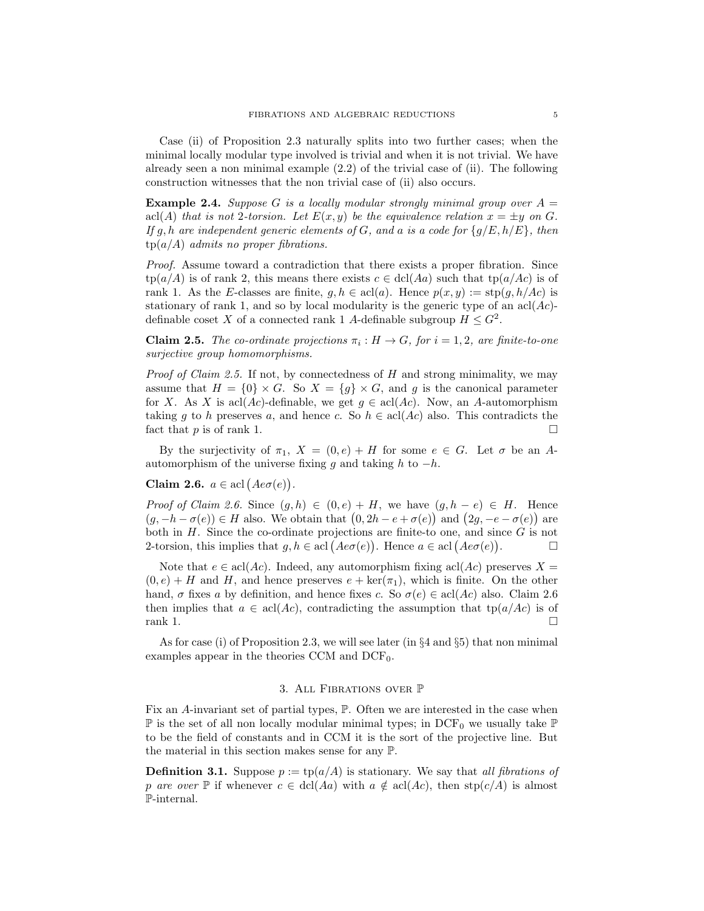Case (ii) of Proposition 2.3 naturally splits into two further cases; when the minimal locally modular type involved is trivial and when it is not trivial. We have already seen a non minimal example (2.2) of the trivial case of (ii). The following construction witnesses that the non trivial case of (ii) also occurs.

**Example 2.4.** Suppose G is a locally modular strongly minimal group over  $A =$ acl(A) that is not 2-torsion. Let  $E(x, y)$  be the equivalence relation  $x = \pm y$  on G. If g, h are independent generic elements of G, and a is a code for  $\{g/E, h/E\}$ , then  $tp(a/A)$  admits no proper fibrations.

Proof. Assume toward a contradiction that there exists a proper fibration. Since  $tp(a/A)$  is of rank 2, this means there exists  $c \in \text{dcl}(Aa)$  such that  $tp(a/Ac)$  is of rank 1. As the E-classes are finite,  $g, h \in \text{acl}(a)$ . Hence  $p(x, y) := \text{stp}(g, h/Ac)$  is stationary of rank 1, and so by local modularity is the generic type of an  $\text{acl}(Ac)$ definable coset X of a connected rank 1 A-definable subgroup  $H \leq G^2$ .

**Claim 2.5.** The co-ordinate projections  $\pi_i : H \to G$ , for  $i = 1, 2$ , are finite-to-one surjective group homomorphisms.

*Proof of Claim 2.5.* If not, by connectedness of  $H$  and strong minimality, we may assume that  $H = \{0\} \times G$ . So  $X = \{g\} \times G$ , and g is the canonical parameter for X. As X is acl(Ac)-definable, we get  $g \in \text{acl}(Ac)$ . Now, an A-automorphism taking g to h preserves a, and hence c. So  $h \in \text{acl}(Ac)$  also. This contradicts the fact that p is of rank 1.

By the surjectivity of  $\pi_1$ ,  $X = (0, e) + H$  for some  $e \in G$ . Let  $\sigma$  be an Aautomorphism of the universe fixing q and taking h to  $-h$ .

Claim 2.6.  $a \in \text{acl}(Ae\sigma(e)).$ 

Proof of Claim 2.6. Since  $(g, h) \in (0, e) + H$ , we have  $(g, h - e) \in H$ . Hence  $(g, -h - \sigma(e)) \in H$  also. We obtain that  $(0, 2h - e + \sigma(e))$  and  $(2g, -e - \sigma(e))$  are both in  $H$ . Since the co-ordinate projections are finite-to one, and since  $G$  is not 2-torsion, this implies that  $g, h \in \text{acl}(Ae\sigma(e))$ . Hence  $a \in \text{acl}(Ae\sigma(e))$ . — П

Note that  $e \in \text{acl}(Ac)$ . Indeed, any automorphism fixing  $\text{acl}(Ac)$  preserves  $X =$  $(0, e) + H$  and H, and hence preserves  $e + \text{ker}(\pi_1)$ , which is finite. On the other hand,  $\sigma$  fixes a by definition, and hence fixes c. So  $\sigma(e) \in \text{acl}(Ac)$  also. Claim 2.6 then implies that  $a \in \text{acl}(Ac)$ , contradicting the assumption that  $\text{tp}(a/Ac)$  is of  $rank 1.$ 

As for case (i) of Proposition 2.3, we will see later (in §4 and §5) that non minimal examples appear in the theories CCM and  $DCF_0$ .

## 3. All Fibrations over P

Fix an A-invariant set of partial types, P. Often we are interested in the case when  $\mathbb P$  is the set of all non locally modular minimal types; in DCF<sub>0</sub> we usually take  $\mathbb P$ to be the field of constants and in CCM it is the sort of the projective line. But the material in this section makes sense for any P.

**Definition 3.1.** Suppose  $p := \text{tp}(a/A)$  is stationary. We say that all fibrations of p are over  $\mathbb P$  if whenever  $c \in \text{dcl}(Aa)$  with  $a \notin \text{acl}(Ac)$ , then  $\text{stp}(c/A)$  is almost P-internal.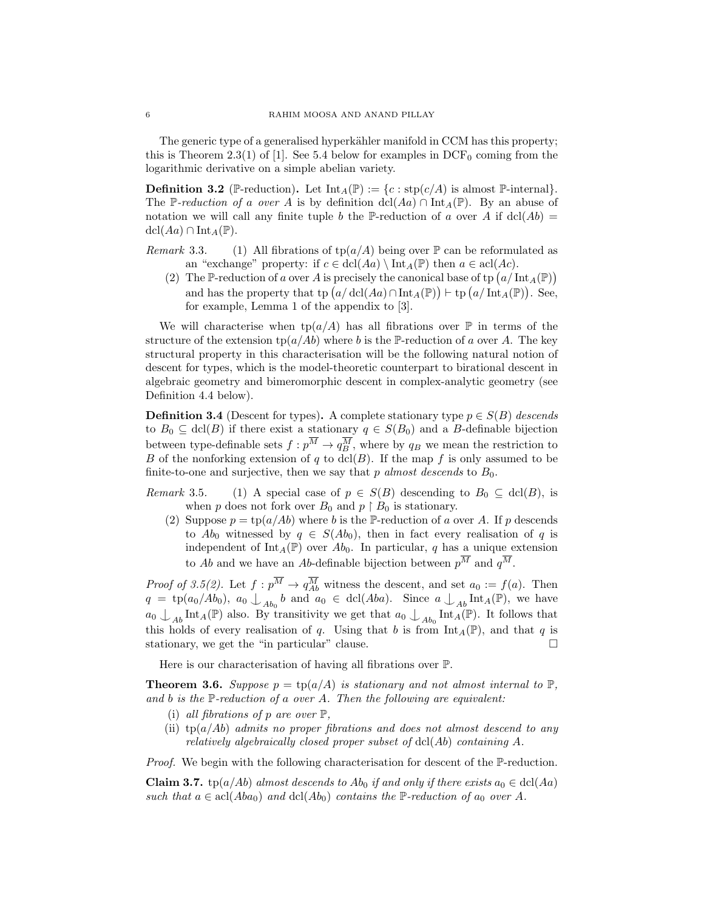The generic type of a generalised hyperkähler manifold in CCM has this property; this is Theorem 2.3(1) of [1]. See 5.4 below for examples in  $DCF_0$  coming from the logarithmic derivative on a simple abelian variety.

**Definition 3.2** (P-reduction). Let  $\text{Int}_A(\mathbb{P}) := \{c : \text{stp}(c/A) \text{ is almost } \mathbb{P}\text{-internal}\}.$ The P-reduction of a over A is by definition dcl(Aa) ∩ Int<sub>A</sub>(P). By an abuse of notation we will call any finite tuple b the P-reduction of a over A if  $dcl(Ab)$  =  $\text{dcl}(Aa) \cap \text{Int}_A(\mathbb{P}).$ 

Remark 3.3. (1) All fibrations of  $tp(a/A)$  being over  $\mathbb P$  can be reformulated as an "exchange" property: if  $c \in \text{dcl}(Aa) \setminus \text{Int}_A(\mathbb{P})$  then  $a \in \text{acl}(Ac)$ .

(2) The P-reduction of a over A is precisely the canonical base of tp  $(a/\text{Int}_A(\mathbb{P}))$ and has the property that tp  $(a/\text{dcl}(Aa) \cap \text{Int}_A(\mathbb{P})) \vdash \text{tp}(a/\text{Int}_A(\mathbb{P}))$ . See, for example, Lemma 1 of the appendix to [3].

We will characterise when  $tp(a/A)$  has all fibrations over  $\mathbb P$  in terms of the structure of the extension  $\text{tp}(a/Ab)$  where b is the P-reduction of a over A. The key structural property in this characterisation will be the following natural notion of descent for types, which is the model-theoretic counterpart to birational descent in algebraic geometry and bimeromorphic descent in complex-analytic geometry (see Definition 4.4 below).

**Definition 3.4** (Descent for types). A complete stationary type  $p \in S(B)$  descends to  $B_0 \subseteq \text{dcl}(B)$  if there exist a stationary  $q \in S(B_0)$  and a B-definable bijection between type-definable sets  $f: p^M \to q_B^M$ , where by  $q_B$  we mean the restriction to B of the nonforking extension of q to dcl(B). If the map f is only assumed to be finite-to-one and surjective, then we say that p almost descends to  $B_0$ .

Remark 3.5. (1) A special case of  $p \in S(B)$  descending to  $B_0 \subseteq \text{dcl}(B)$ , is when p does not fork over  $B_0$  and  $p \restriction B_0$  is stationary.

(2) Suppose  $p = \text{tp}(a/Ab)$  where b is the P-reduction of a over A. If p descends to  $Ab_0$  witnessed by  $q \in S(Ab_0)$ , then in fact every realisation of q is independent of Int<sub>A</sub>( $\mathbb{P}$ ) over Ab<sub>0</sub>. In particular, q has a unique extension to Ab and we have an Ab-definable bijection between  $p^{\overline{M}}$  and  $q^{\overline{M}}$ .

*Proof of 3.5(2)*. Let  $f: p^M \to q^M_{Ab}$  witness the descent, and set  $a_0 := f(a)$ . Then  $q = \text{tp}(a_0/Ab_0), a_0 \bigcup_{Ab_0} b$  and  $a_0 \in \text{dcl}(Aba).$  Since  $a \bigcup_{Ab} \text{Int}_A(\mathbb{P}),$  we have  $a_0 \nightharpoonup_{Ab} \text{Int}_A(\mathbb{P})$  also. By transitivity we get that  $a_0 \nightharpoonup_{Ab_0} \text{Int}_A(\mathbb{P})$ . It follows that this holds of every realisation of q. Using that b is from  $\text{Int}_A(\mathbb{P})$ , and that q is stationary, we get the "in particular" clause.  $\Box$ 

Here is our characterisation of having all fibrations over P.

**Theorem 3.6.** Suppose  $p = \text{tp}(a/A)$  is stationary and not almost internal to  $\mathbb{P}$ , and b is the  $\mathbb P$ -reduction of a over A. Then the following are equivalent:

- (i) all fibrations of p are over  $\mathbb{P}$ ,
- (ii) tp( $a/Ab$ ) admits no proper fibrations and does not almost descend to any relatively algebraically closed proper subset of  $dcl(Ab)$  containing  $A$ .

Proof. We begin with the following characterisation for descent of the P-reduction.

**Claim 3.7.** tp(a/Ab) almost descends to Ab<sub>0</sub> if and only if there exists  $a_0 \in \text{dcl}(Aa)$ such that  $a \in \text{acl}(Aba_0)$  and  $\text{dcl}(Ab_0)$  contains the P-reduction of  $a_0$  over A.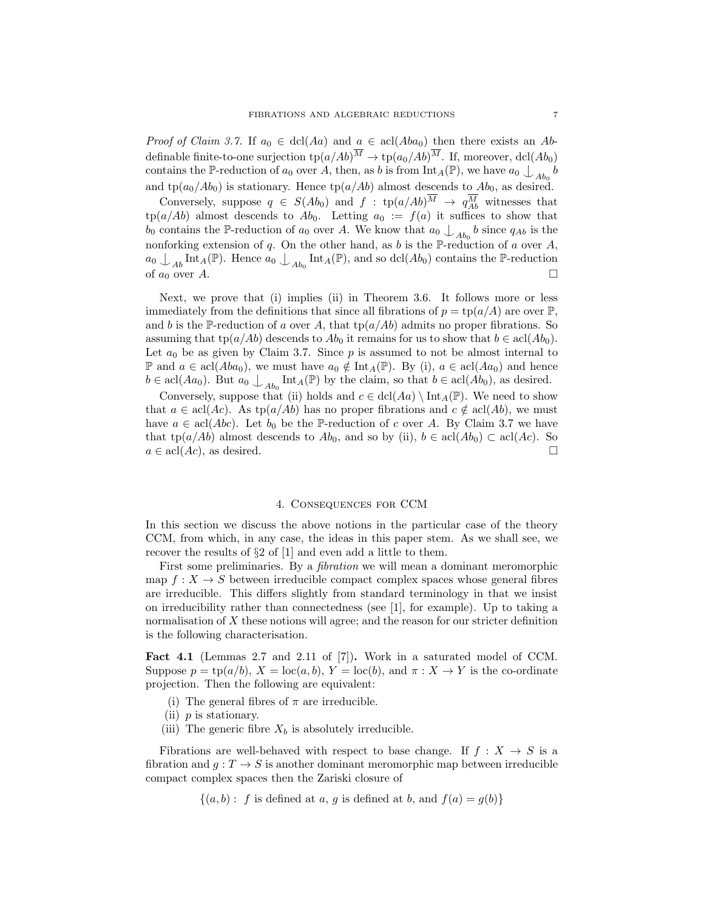*Proof of Claim 3.7.* If  $a_0 \in \text{dcl}(Aa)$  and  $a \in \text{acl}(Aba_0)$  then there exists an Abdefinable finite-to-one surjection  $\text{tp}(a/Ab)^M \to \text{tp}(a_0/Ab)^M$ . If, moreover, dcl $(Ab_0)$ contains the P-reduction of  $a_0$  over A, then, as b is from  $\text{Int}_A(\mathbb{P})$ , we have  $a_0 \nvert_{Ab_0} b$ and tp( $a_0/Ab_0$ ) is stationary. Hence tp( $a/Ab$ ) almost descends to  $Ab_0$ , as desired.

Conversely, suppose  $q \in S(Ab_0)$  and  $f : tp(a/Ab)^M \to q_M^M$  witnesses that  $tp(a/Ab)$  almost descends to  $Ab_0$ . Letting  $a_0 := f(a)$  it suffices to show that  $b_0$  contains the P-reduction of  $a_0$  over A. We know that  $a_0 \nvert_{A_{b_0}} b$  since  $q_{Ab}$  is the nonforking extension of q. On the other hand, as b is the  $\mathbb P$ -reduction of a over A,  $a_0 \n\bigcup_{Ab} \text{Int}_A(\mathbb{P})$ . Hence  $a_0 \n\bigcup_{Ab_0} \text{Int}_A(\mathbb{P})$ , and so dcl( $Ab_0$ ) contains the P-reduction of  $a_0$  over A.

Next, we prove that (i) implies (ii) in Theorem 3.6. It follows more or less immediately from the definitions that since all fibrations of  $p = \text{tp}(a/A)$  are over  $\mathbb{P}$ , and b is the P-reduction of a over A, that  $tp(a/Ab)$  admits no proper fibrations. So assuming that tp( $a/Ab$ ) descends to  $Ab<sub>0</sub>$  it remains for us to show that  $b \in \text{acl}(Ab<sub>0</sub>)$ . Let  $a_0$  be as given by Claim 3.7. Since  $p$  is assumed to not be almost internal to **P** and  $a \in \text{acl}(Aba_0)$ , we must have  $a_0 \notin \text{Int}_A(\mathbb{P})$ . By (i),  $a \in \text{acl}(Aa_0)$  and hence  $b \in \text{acl}(Aa_0)$ . But  $a_0 \bigcup_{Ab_0} \text{Int}_A(\mathbb{P})$  by the claim, so that  $b \in \text{acl}(Ab_0)$ , as desired.

Conversely, suppose that (ii) holds and  $c \in \text{dcl}(Aa) \setminus \text{Int}_A(\mathbb{P})$ . We need to show that  $a \in \text{acl}(Ac)$ . As tp( $a/Ab$ ) has no proper fibrations and  $c \notin \text{acl}(Ab)$ , we must have  $a \in \text{acl}(Abc)$ . Let  $b_0$  be the P-reduction of c over A. By Claim 3.7 we have that tp(a/Ab) almost descends to  $Ab_0$ , and so by (ii),  $b \in \text{acl}(Ab_0) \subset \text{acl}(Ac)$ . So  $a \in \text{acl}(Ac)$ , as desired.

## 4. Consequences for CCM

In this section we discuss the above notions in the particular case of the theory CCM, from which, in any case, the ideas in this paper stem. As we shall see, we recover the results of §2 of [1] and even add a little to them.

First some preliminaries. By a fibration we will mean a dominant meromorphic map  $f: X \to S$  between irreducible compact complex spaces whose general fibres are irreducible. This differs slightly from standard terminology in that we insist on irreducibility rather than connectedness (see [1], for example). Up to taking a normalisation of X these notions will agree; and the reason for our stricter definition is the following characterisation.

Fact 4.1 (Lemmas 2.7 and 2.11 of [7]). Work in a saturated model of CCM. Suppose  $p = \text{tp}(a/b)$ ,  $X = \text{loc}(a, b)$ ,  $Y = \text{loc}(b)$ , and  $\pi : X \to Y$  is the co-ordinate projection. Then the following are equivalent:

- (i) The general fibres of  $\pi$  are irreducible.
- (ii)  $p$  is stationary.
- (iii) The generic fibre  $X_b$  is absolutely irreducible.

Fibrations are well-behaved with respect to base change. If  $f : X \to S$  is a fibration and  $g: T \to S$  is another dominant meromorphic map between irreducible compact complex spaces then the Zariski closure of

 $\{(a, b): f \text{ is defined at } a, g \text{ is defined at } b, \text{ and } f(a) = g(b)\}\$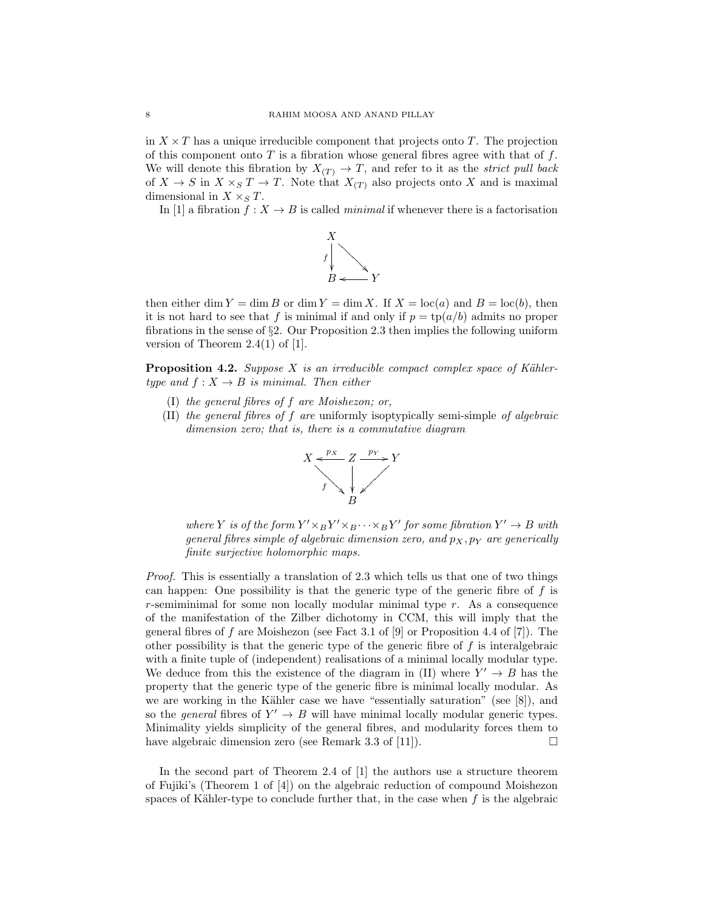in  $X \times T$  has a unique irreducible component that projects onto T. The projection of this component onto  $T$  is a fibration whose general fibres agree with that of  $f$ . We will denote this fibration by  $X_{(T)} \to T$ , and refer to it as the *strict pull back* of  $X \to S$  in  $X \times_S T \to T$ . Note that  $X_{(T)}$  also projects onto X and is maximal dimensional in  $X \times_S T$ .

In [1] a fibration  $f: X \to B$  is called *minimal* if whenever there is a factorisation



then either dim  $Y = \dim B$  or dim  $Y = \dim X$ . If  $X = \text{loc}(a)$  and  $B = \text{loc}(b)$ , then it is not hard to see that f is minimal if and only if  $p = \text{tp}(a/b)$  admits no proper fibrations in the sense of  $\S2$ . Our Proposition 2.3 then implies the following uniform version of Theorem 2.4(1) of [1].

**Proposition 4.2.** Suppose X is an irreducible compact complex space of Kählertype and  $f: X \to B$  is minimal. Then either

- (I) the general fibres of f are Moishezon; or,
- (II) the general fibres of f are uniformly isoptypically semi-simple of algebraic dimension zero; that is, there is a commutative diagram



where Y is of the form  $Y' \times_B Y' \times_B \cdots \times_B Y'$  for some fibration  $Y' \to B$  with general fibres simple of algebraic dimension zero, and  $p_X, p_Y$  are generically finite surjective holomorphic maps.

Proof. This is essentially a translation of 2.3 which tells us that one of two things can happen: One possibility is that the generic type of the generic fibre of  $f$  is  $r$ -semiminimal for some non locally modular minimal type  $r$ . As a consequence of the manifestation of the Zilber dichotomy in CCM, this will imply that the general fibres of f are Moishezon (see Fact 3.1 of [9] or Proposition 4.4 of [7]). The other possibility is that the generic type of the generic fibre of  $f$  is interalgebraic with a finite tuple of (independent) realisations of a minimal locally modular type. We deduce from this the existence of the diagram in (II) where  $Y' \rightarrow B$  has the property that the generic type of the generic fibre is minimal locally modular. As we are working in the Kähler case we have "essentially saturation" (see  $[8]$ ), and so the *general* fibres of  $Y' \rightarrow B$  will have minimal locally modular generic types. Minimality yields simplicity of the general fibres, and modularity forces them to have algebraic dimension zero (see Remark 3.3 of [11]).  $\Box$ 

In the second part of Theorem 2.4 of [1] the authors use a structure theorem of Fujiki's (Theorem 1 of [4]) on the algebraic reduction of compound Moishezon spaces of Kähler-type to conclude further that, in the case when  $f$  is the algebraic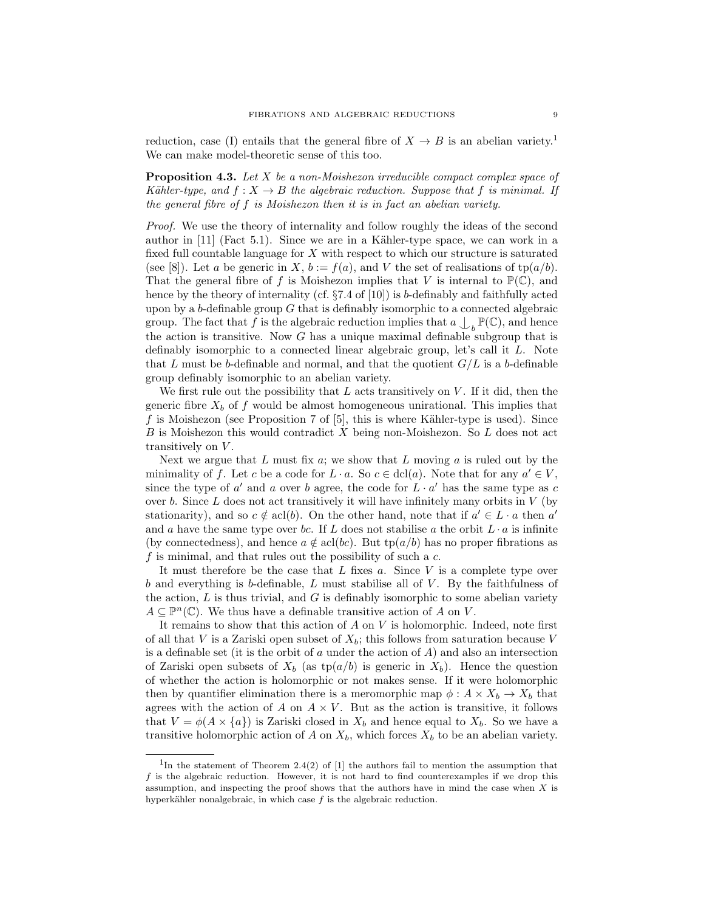reduction, case (I) entails that the general fibre of  $X \to B$  is an abelian variety.<sup>1</sup> We can make model-theoretic sense of this too.

**Proposition 4.3.** Let  $X$  be a non-Moishezon irreducible compact complex space of Kähler-type, and  $f : X \to B$  the algebraic reduction. Suppose that f is minimal. If the general fibre of f is Moishezon then it is in fact an abelian variety.

Proof. We use the theory of internality and follow roughly the ideas of the second author in  $[11]$  (Fact 5.1). Since we are in a Kähler-type space, we can work in a fixed full countable language for X with respect to which our structure is saturated (see [8]). Let a be generic in X,  $b := f(a)$ , and V the set of realisations of  $tp(a/b)$ . That the general fibre of f is Moishezon implies that V is internal to  $\mathbb{P}(\mathbb{C})$ , and hence by the theory of internality (cf.  $\S7.4$  of [10]) is b-definably and faithfully acted upon by a  $b$ -definable group  $G$  that is definably isomorphic to a connected algebraic group. The fact that f is the algebraic reduction implies that  $a \n\bigcup_b \mathbb{P}(\mathbb{C})$ , and hence the action is transitive. Now  $G$  has a unique maximal definable subgroup that is definably isomorphic to a connected linear algebraic group, let's call it L. Note that L must be b-definable and normal, and that the quotient  $G/L$  is a b-definable group definably isomorphic to an abelian variety.

We first rule out the possibility that  $L$  acts transitively on  $V$ . If it did, then the generic fibre  $X_b$  of f would be almost homogeneous unirational. This implies that  $f$  is Moishezon (see Proposition 7 of  $[5]$ , this is where Kähler-type is used). Since B is Moishezon this would contradict X being non-Moishezon. So L does not act transitively on V.

Next we argue that  $L$  must fix  $a$ ; we show that  $L$  moving  $a$  is ruled out by the minimality of f. Let c be a code for  $L \cdot a$ . So  $c \in \text{dcl}(a)$ . Note that for any  $a' \in V$ , since the type of  $a'$  and  $a$  over  $b$  agree, the code for  $L \cdot a'$  has the same type as  $c$ over b. Since  $L$  does not act transitively it will have infinitely many orbits in  $V$  (by stationarity), and so  $c \notin \text{acl}(b)$ . On the other hand, note that if  $a' \in L \cdot a$  then  $a'$ and a have the same type over bc. If L does not stabilise a the orbit  $L \cdot a$  is infinite (by connectedness), and hence  $a \notin \text{acl}(bc)$ . But tp $(a/b)$  has no proper fibrations as  $f$  is minimal, and that rules out the possibility of such a  $c$ .

It must therefore be the case that  $L$  fixes  $a$ . Since  $V$  is a complete type over  $b$  and everything is  $b$ -definable,  $L$  must stabilise all of  $V$ . By the faithfulness of the action,  $L$  is thus trivial, and  $G$  is definably isomorphic to some abelian variety  $A \subseteq \mathbb{P}^n(\mathbb{C})$ . We thus have a definable transitive action of A on V.

It remains to show that this action of  $A$  on  $V$  is holomorphic. Indeed, note first of all that V is a Zariski open subset of  $X_b$ ; this follows from saturation because V is a definable set (it is the orbit of  $a$  under the action of  $A$ ) and also an intersection of Zariski open subsets of  $X_b$  (as tp( $a/b$ ) is generic in  $X_b$ ). Hence the question of whether the action is holomorphic or not makes sense. If it were holomorphic then by quantifier elimination there is a meromorphic map  $\phi: A \times X_b \to X_b$  that agrees with the action of  $A$  on  $A \times V$ . But as the action is transitive, it follows that  $V = \phi(A \times \{a\})$  is Zariski closed in  $X_b$  and hence equal to  $X_b$ . So we have a transitive holomorphic action of A on  $X_b$ , which forces  $X_b$  to be an abelian variety.

<sup>&</sup>lt;sup>1</sup>In the statement of Theorem 2.4(2) of [1] the authors fail to mention the assumption that  $f$  is the algebraic reduction. However, it is not hard to find counterexamples if we drop this assumption, and inspecting the proof shows that the authors have in mind the case when  $X$  is hyperkähler nonalgebraic, in which case  $f$  is the algebraic reduction.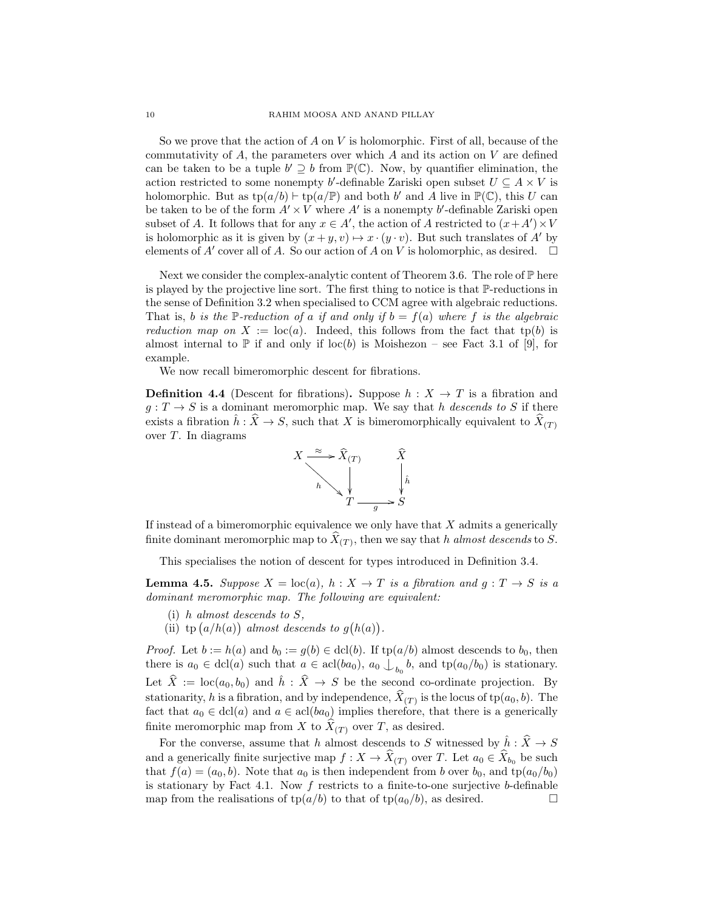So we prove that the action of  $A$  on  $V$  is holomorphic. First of all, because of the commutativity of  $A$ , the parameters over which  $A$  and its action on  $V$  are defined can be taken to be a tuple  $b' \supseteq b$  from  $\mathbb{P}(\mathbb{C})$ . Now, by quantifier elimination, the action restricted to some nonempty b'-definable Zariski open subset  $U \subseteq A \times V$  is holomorphic. But as  $tp(a/b) \vdash tp(a/\mathbb{P})$  and both b' and A live in  $\mathbb{P}(\mathbb{C})$ , this U can be taken to be of the form  $A' \times V$  where  $A'$  is a nonempty b'-definable Zariski open subset of A. It follows that for any  $x \in A'$ , the action of A restricted to  $(x + A') \times V$ is holomorphic as it is given by  $(x + y, v) \mapsto x \cdot (y \cdot v)$ . But such translates of A' by elements of A' cover all of A. So our action of A on V is holomorphic, as desired.  $\square$ 

Next we consider the complex-analytic content of Theorem 3.6. The role of  $\mathbb P$  here is played by the projective line sort. The first thing to notice is that P-reductions in the sense of Definition 3.2 when specialised to CCM agree with algebraic reductions. That is, b is the P-reduction of a if and only if  $b = f(a)$  where f is the algebraic reduction map on  $X := \text{loc}(a)$ . Indeed, this follows from the fact that tp(b) is almost internal to  $\mathbb P$  if and only if loc(b) is Moishezon – see Fact 3.1 of [9], for example.

We now recall bimeromorphic descent for fibrations.

**Definition 4.4** (Descent for fibrations). Suppose  $h : X \rightarrow T$  is a fibration and  $g: T \to S$  is a dominant meromorphic map. We say that h descends to S if there exists a fibration  $\hat{h}$ :  $\hat{X} \to S$ , such that X is bimeromorphically equivalent to  $\hat{X}(T)$ over T. In diagrams



If instead of a bimeromorphic equivalence we only have that  $X$  admits a generically finite dominant meromorphic map to  $X(T)$ , then we say that h almost descends to S.

This specialises the notion of descent for types introduced in Definition 3.4.

**Lemma 4.5.** Suppose  $X = \text{loc}(a)$ ,  $h : X \to T$  is a fibration and  $g : T \to S$  is a dominant meromorphic map. The following are equivalent:

- (i) h almost descends to  $S$ ,
- (ii) tp  $(a/h(a))$  almost descends to  $g(h(a))$ .

*Proof.* Let  $b := h(a)$  and  $b_0 := g(b) \in \text{dcl}(b)$ . If  $tp(a/b)$  almost descends to  $b_0$ , then there is  $a_0 \in \text{dcl}(a)$  such that  $a \in \text{acl}(ba_0)$ ,  $a_0 \bigcup_{b_0} b$ , and  $\text{tp}(a_0/b_0)$  is stationary. Let  $\hat{X} := \text{loc}(a_0, b_0)$  and  $\hat{h} : \hat{X} \to S$  be the second co-ordinate projection. By stationarity, h is a fibration, and by independence,  $X(T)$  is the locus of tp( $a_0, b$ ). The fact that  $a_0 \in \text{dcl}(a)$  and  $a \in \text{acl}(ba_0)$  implies therefore, that there is a generically finite meromorphic map from X to  $X_{(T)}$  over T, as desired.

For the converse, assume that  $h$  almost descends to  $S$  witnessed by  $\hat{h}:\widehat{X}\rightarrow S$ and a generically finite surjective map  $f: X \to X(T)$  over T. Let  $a_0 \in X_{b_0}$  be such that  $f(a) = (a_0, b)$ . Note that  $a_0$  is then independent from b over  $b_0$ , and  $tp(a_0/b_0)$ is stationary by Fact 4.1. Now  $f$  restricts to a finite-to-one surjective b-definable map from the realisations of  $tp(a/b)$  to that of  $tp(a_0/b)$ , as desired.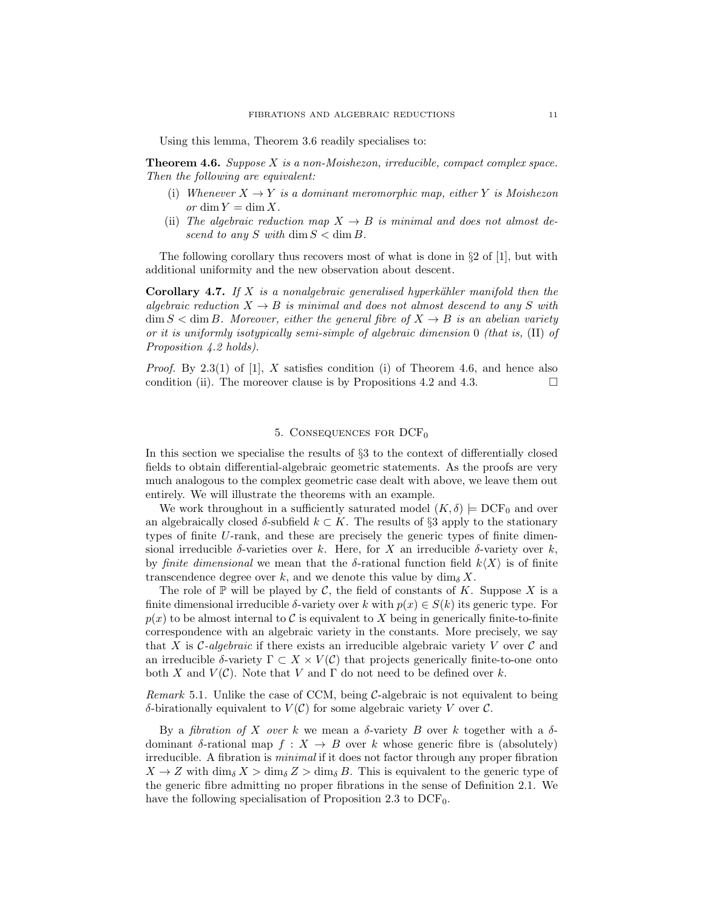Using this lemma, Theorem 3.6 readily specialises to:

**Theorem 4.6.** Suppose  $X$  is a non-Moishezon, irreducible, compact complex space. Then the following are equivalent:

- (i) Whenever  $X \to Y$  is a dominant meromorphic map, either Y is Moishezon or dim  $Y = \dim X$ .
- (ii) The algebraic reduction map  $X \to B$  is minimal and does not almost descend to any S with dim  $S < \dim B$ .

The following corollary thus recovers most of what is done in  $\S 2$  of  $|1|$ , but with additional uniformity and the new observation about descent.

**Corollary 4.7.** If X is a nonalgebraic generalised hyperkähler manifold then the algebraic reduction  $X \to B$  is minimal and does not almost descend to any S with  $\dim S < \dim B$ . Moreover, either the general fibre of  $X \to B$  is an abelian variety or it is uniformly isotypically semi-simple of algebraic dimension 0 (that is, (II) of Proposition 4.2 holds).

*Proof.* By 2.3(1) of [1], X satisfies condition (i) of Theorem 4.6, and hence also condition (ii). The moreover clause is by Propositions 4.2 and 4.3.

## 5. CONSEQUENCES FOR  $DCF_0$

In this section we specialise the results of §3 to the context of differentially closed fields to obtain differential-algebraic geometric statements. As the proofs are very much analogous to the complex geometric case dealt with above, we leave them out entirely. We will illustrate the theorems with an example.

We work throughout in a sufficiently saturated model  $(K, \delta) \models DCF_0$  and over an algebraically closed  $\delta$ -subfield  $k \subset K$ . The results of §3 apply to the stationary types of finite U-rank, and these are precisely the generic types of finite dimensional irreducible  $\delta$ -varieties over k. Here, for X an irreducible  $\delta$ -variety over k, by finite dimensional we mean that the  $\delta$ -rational function field  $k\langle X\rangle$  is of finite transcendence degree over k, and we denote this value by  $\dim_{\delta} X$ .

The role of  $\mathbb P$  will be played by C, the field of constants of K. Suppose X is a finite dimensional irreducible  $\delta$ -variety over k with  $p(x) \in S(k)$  its generic type. For  $p(x)$  to be almost internal to C is equivalent to X being in generically finite-to-finite correspondence with an algebraic variety in the constants. More precisely, we say that X is  $\mathcal C$ -algebraic if there exists an irreducible algebraic variety V over  $\mathcal C$  and an irreducible δ-variety  $\Gamma \subset X \times V(C)$  that projects generically finite-to-one onto both X and  $V(\mathcal{C})$ . Note that V and  $\Gamma$  do not need to be defined over k.

Remark 5.1. Unlike the case of CCM, being  $C$ -algebraic is not equivalent to being δ-birationally equivalent to  $V(\mathcal{C})$  for some algebraic variety V over  $\mathcal{C}$ .

By a *fibration of X over* k we mean a  $\delta$ -variety B over k together with a  $\delta$ dominant  $\delta$ -rational map  $f : X \to B$  over k whose generic fibre is (absolutely) irreducible. A fibration is minimal if it does not factor through any proper fibration  $X \to Z$  with  $\dim_{\delta} X > \dim_{\delta} Z > \dim_{\delta} B$ . This is equivalent to the generic type of the generic fibre admitting no proper fibrations in the sense of Definition 2.1. We have the following specialisation of Proposition 2.3 to  $DCF_0$ .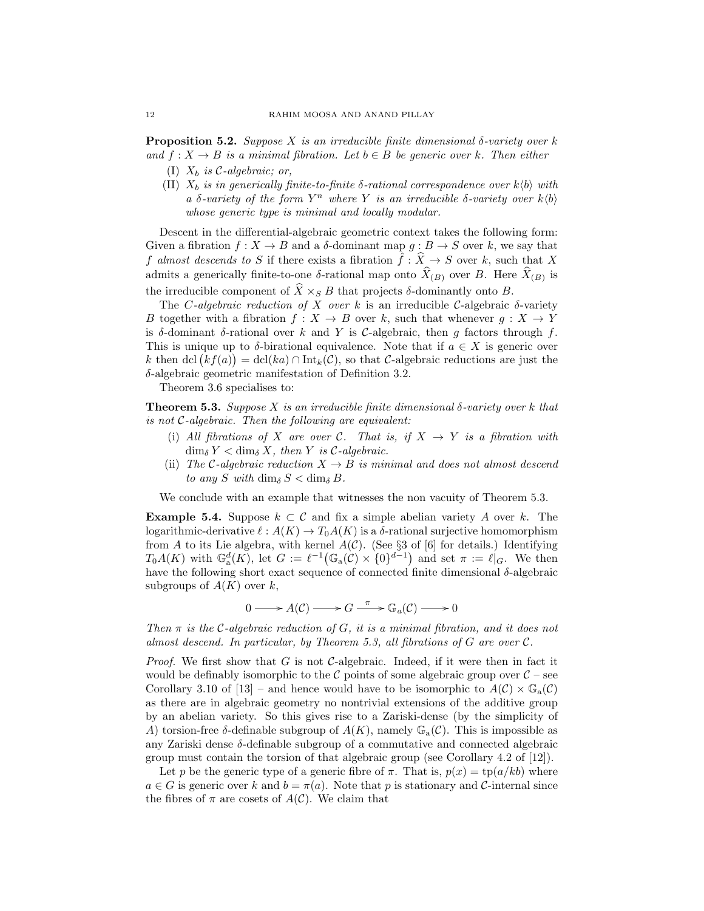**Proposition 5.2.** Suppose X is an irreducible finite dimensional  $\delta$ -variety over k and  $f: X \to B$  is a minimal fibration. Let  $b \in B$  be generic over k. Then either

- (I)  $X_b$  is C-algebraic; or,
- (II)  $X_b$  is in generically finite-to-finite δ-rational correspondence over  $k\langle b \rangle$  with a δ-variety of the form  $Y^n$  where Y is an irreducible δ-variety over  $k(b)$ whose generic type is minimal and locally modular.

Descent in the differential-algebraic geometric context takes the following form: Given a fibration  $f: X \to B$  and a  $\delta$ -dominant map  $g: B \to S$  over k, we say that f almost descends to S if there exists a fibration  $\hat{f}: \hat{X} \to S$  over k, such that X admits a generically finite-to-one  $\delta$ -rational map onto  $X_{(B)}$  over B. Here  $X_{(B)}$  is the irreducible component of  $\hat{X} \times_{S} B$  that projects  $\delta$ -dominantly onto B.

The C-algebraic reduction of X over k is an irreducible C-algebraic  $\delta$ -variety B together with a fibration  $f : X \to B$  over k, such that whenever  $g : X \to Y$ is δ-dominant δ-rational over k and Y is C-algebraic, then g factors through f. This is unique up to  $\delta$ -birational equivalence. Note that if  $a \in X$  is generic over k then dcl  $(kf(a)) = \text{dcl}(ka) \cap \text{Int}_k(\mathcal{C})$ , so that C-algebraic reductions are just the δ-algebraic geometric manifestation of Definition 3.2.

Theorem 3.6 specialises to:

**Theorem 5.3.** Suppose X is an irreducible finite dimensional  $\delta$ -variety over k that is not C-algebraic. Then the following are equivalent:

- (i) All fibrations of X are over C. That is, if  $X \to Y$  is a fibration with  $\dim_{\delta} Y < \dim_{\delta} X$ , then Y is C-algebraic.
- (ii) The C-algebraic reduction  $X \to B$  is minimal and does not almost descend to any S with  $\dim_{\delta} S < \dim_{\delta} B$ .

We conclude with an example that witnesses the non vacuity of Theorem 5.3.

**Example 5.4.** Suppose  $k \subset \mathcal{C}$  and fix a simple abelian variety A over k. The logarithmic-derivative  $\ell : A(K) \to T_0A(K)$  is a  $\delta$ -rational surjective homomorphism from A to its Lie algebra, with kernel  $A(\mathcal{C})$ . (See §3 of [6] for details.) Identifying  $T_0A(K)$  with  $\mathbb{G}_a^d(K)$ , let  $G := \ell^{-1}(\mathbb{G}_a(\mathcal{C}) \times \{0\}^{d-1})$  and set  $\pi := \ell|_G$ . We then have the following short exact sequence of connected finite dimensional  $\delta$ -algebraic subgroups of  $A(K)$  over k,

 $0 \longrightarrow A(\mathcal{C}) \longrightarrow G \xrightarrow{\pi} \mathbb{G}_a(\mathcal{C}) \longrightarrow 0$ 

Then  $\pi$  is the C-algebraic reduction of G, it is a minimal fibration, and it does not almost descend. In particular, by Theorem 5.3, all fibrations of  $G$  are over  $\mathcal{C}$ .

*Proof.* We first show that G is not C-algebraic. Indeed, if it were then in fact it would be definably isomorphic to the  $\mathcal C$  points of some algebraic group over  $\mathcal C$  – see Corollary 3.10 of [13] – and hence would have to be isomorphic to  $A(\mathcal{C}) \times \mathbb{G}_{a}(\mathcal{C})$ as there are in algebraic geometry no nontrivial extensions of the additive group by an abelian variety. So this gives rise to a Zariski-dense (by the simplicity of A) torsion-free  $\delta$ -definable subgroup of  $A(K)$ , namely  $\mathbb{G}_{a}(\mathcal{C})$ . This is impossible as any Zariski dense  $\delta$ -definable subgroup of a commutative and connected algebraic group must contain the torsion of that algebraic group (see Corollary 4.2 of [12]).

Let p be the generic type of a generic fibre of  $\pi$ . That is,  $p(x) = \text{tp}(a/kb)$  where  $a \in G$  is generic over k and  $b = \pi(a)$ . Note that p is stationary and C-internal since the fibres of  $\pi$  are cosets of  $A(\mathcal{C})$ . We claim that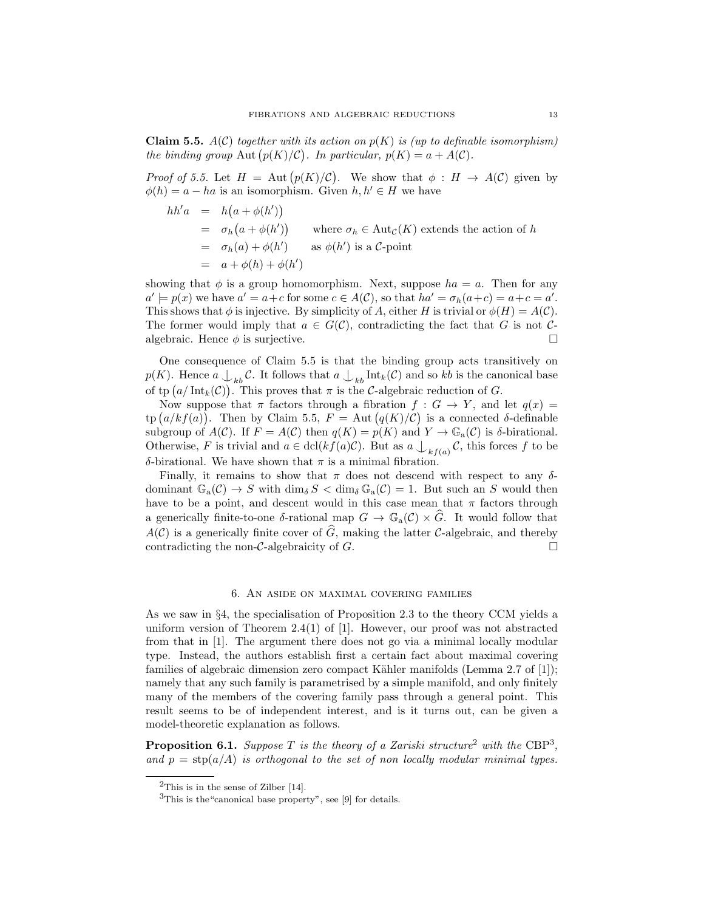**Claim 5.5.**  $A(\mathcal{C})$  together with its action on  $p(K)$  is (up to definable isomorphism) the binding group Aut  $(p(K)/C)$ . In particular,  $p(K) = a + A(C)$ .

*Proof of 5.5.* Let  $H = \text{Aut}(p(K)/\mathcal{C})$ . We show that  $\phi : H \to A(\mathcal{C})$  given by  $\phi(h) = a - ha$  is an isomorphism. Given  $h, h' \in H$  we have

$$
hh'a = h(a + \phi(h'))
$$
  
=  $\sigma_h(a + \phi(h'))$  where  $\sigma_h \in \text{Aut}_{\mathcal{C}}(K)$  extends the action of h  
=  $\sigma_h(a) + \phi(h')$  as  $\phi(h')$  is a C-point  
=  $a + \phi(h) + \phi(h')$ 

showing that  $\phi$  is a group homomorphism. Next, suppose  $ha = a$ . Then for any  $a' \models p(x)$  we have  $a' = a + c$  for some  $c \in A(C)$ , so that  $ha' = \sigma_h(a+c) = a+c = a'$ . This shows that  $\phi$  is injective. By simplicity of A, either H is trivial or  $\phi(H) = A(C)$ . The former would imply that  $a \in G(\mathcal{C})$ , contradicting the fact that G is not Calgebraic. Hence  $\phi$  is surjective.

One consequence of Claim 5.5 is that the binding group acts transitively on  $p(K)$ . Hence  $a \bigcup_{kb} C$ . It follows that  $a \bigcup_{kb} \text{Int}_k(C)$  and so kb is the canonical base of tp  $(a/\text{Int}_k(\mathcal{C}))$ . This proves that  $\pi$  is the C-algebraic reduction of G.

Now suppose that  $\pi$  factors through a fibration  $f : G \to Y$ , and let  $q(x) =$ tp  $(a/kf(a))$ . Then by Claim 5.5,  $F = \text{Aut}(q(K)/\mathcal{C})$  is a connected  $\delta$ -definable subgroup of  $A(C)$ . If  $F = A(C)$  then  $q(K) = p(K)$  and  $Y \to \mathbb{G}_{\mathrm{a}}(C)$  is  $\delta$ -birational. Otherwise, F is trivial and  $a \in \text{dcl}(kf(a)\mathcal{C})$ . But as  $a \bigcup_{kf(a)} \mathcal{C}$ , this forces f to be δ-birational. We have shown that  $π$  is a minimal fibration.

Finally, it remains to show that  $\pi$  does not descend with respect to any  $\delta$ dominant  $\mathbb{G}_{a}(\mathcal{C}) \to S$  with  $\dim_{\delta} S < \dim_{\delta} \mathbb{G}_{a}(\mathcal{C}) = 1$ . But such an S would then have to be a point, and descent would in this case mean that  $\pi$  factors through a generically finite-to-one δ-rational map  $G \to \mathbb{G}_{a}(\mathcal{C}) \times \widehat{G}$ . It would follow that  $A(\mathcal{C})$  is a generically finite cover of  $\widehat{G}$ , making the latter C-algebraic, and thereby contradicting the non-C-algebraicity of  $G$ . contradicting the non- $\mathcal{C}\text{-algebraicity of } G$ .

# 6. An aside on maximal covering families

As we saw in §4, the specialisation of Proposition 2.3 to the theory CCM yields a uniform version of Theorem 2.4(1) of [1]. However, our proof was not abstracted from that in [1]. The argument there does not go via a minimal locally modular type. Instead, the authors establish first a certain fact about maximal covering families of algebraic dimension zero compact Kähler manifolds (Lemma 2.7 of [1]); namely that any such family is parametrised by a simple manifold, and only finitely many of the members of the covering family pass through a general point. This result seems to be of independent interest, and is it turns out, can be given a model-theoretic explanation as follows.

**Proposition 6.1.** Suppose T is the theory of a Zariski structure<sup>2</sup> with the CBP<sup>3</sup>, and  $p = \text{stp}(a/A)$  is orthogonal to the set of non locally modular minimal types.

 $^{2}$ This is in the sense of Zilber [14].

<sup>3</sup>This is the"canonical base property", see [9] for details.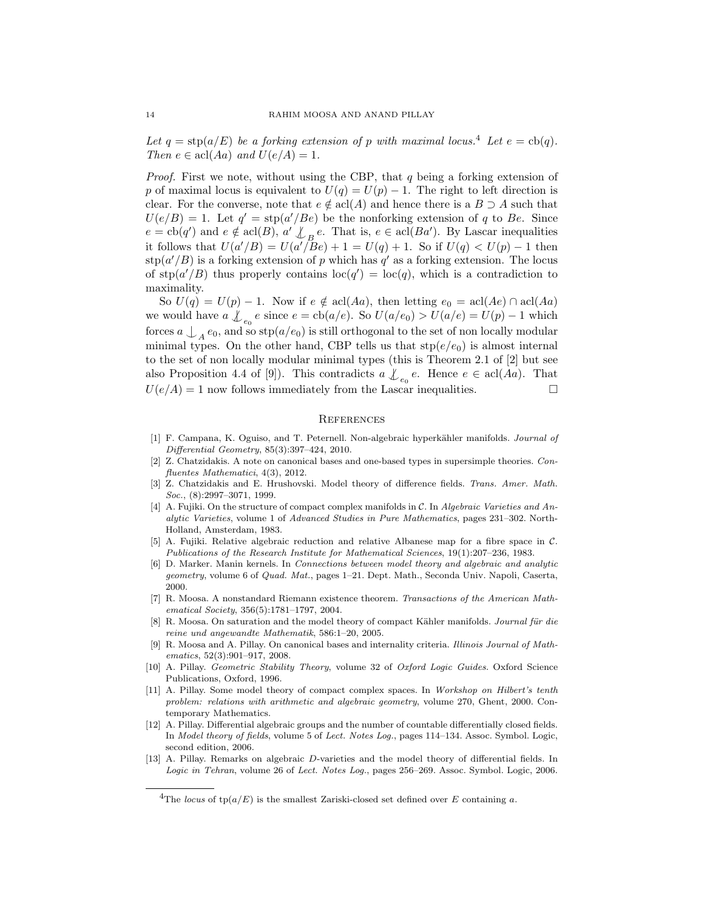Let  $q = \text{stp}(a/E)$  be a forking extension of p with maximal locus.<sup>4</sup> Let  $e = \text{cb}(q)$ . Then  $e \in \text{acl}(Aa)$  and  $U(e/A) = 1$ .

*Proof.* First we note, without using the CBP, that  $q$  being a forking extension of p of maximal locus is equivalent to  $U(q) = U(p) - 1$ . The right to left direction is clear. For the converse, note that  $e \notin \text{acl}(A)$  and hence there is a  $B \supset A$  such that  $U(e/B) = 1$ . Let  $q' = \text{stp}(a'/Be)$  be the nonforking extension of q to Be. Since  $e = \text{cb}(q')$  and  $e \notin \text{acl}(B)$ ,  $a' \not\perp_B e$ . That is,  $e \in \text{acl}(Ba')$ . By Lascar inequalities it follows that  $U(a'/B) = U(a'/\overline{B}e) + 1 = U(q) + 1$ . So if  $U(q) < U(p) - 1$  then  $\sup(a'/B)$  is a forking extension of p which has q' as a forking extension. The locus of  $\text{stp}(a'/B)$  thus properly contains  $\text{loc}(q') = \text{loc}(q)$ , which is a contradiction to maximality.

So  $U(q) = U(p) - 1$ . Now if  $e \notin \text{acl}(Aa)$ , then letting  $e_0 = \text{acl}(Ae) \cap \text{acl}(Aa)$ we would have  $a \nvert_{e_0} e$  since  $e = \text{cb}(a/e)$ . So  $U(a/e_0) > U(a/e) = U(p) - 1$  which forces  $a \n\bigcup_{A} e_0$ , and so  $\text{stp}(a/e_0)$  is still orthogonal to the set of non locally modular minimal types. On the other hand, CBP tells us that  $\text{stp}(e/e_0)$  is almost internal to the set of non locally modular minimal types (this is Theorem 2.1 of [2] but see also Proposition 4.4 of [9]). This contradicts  $a \nvert_{e_0} e$ . Hence  $e \in \text{acl}(Aa)$ . That  $U(e/A) = 1$  now follows immediately from the Lascar inequalities.

#### **REFERENCES**

- [1] F. Campana, K. Oguiso, and T. Peternell. Non-algebraic hyperkähler manifolds. Journal of Differential Geometry, 85(3):397–424, 2010.
- [2] Z. Chatzidakis. A note on canonical bases and one-based types in supersimple theories. Confluentes Mathematici, 4(3), 2012.
- [3] Z. Chatzidakis and E. Hrushovski. Model theory of difference fields. Trans. Amer. Math. Soc., (8):2997-3071, 1999.
- [4] A. Fujiki. On the structure of compact complex manifolds in C. In Algebraic Varieties and Analytic Varieties, volume 1 of Advanced Studies in Pure Mathematics, pages 231–302. North-Holland, Amsterdam, 1983.
- [5] A. Fujiki. Relative algebraic reduction and relative Albanese map for a fibre space in C. Publications of the Research Institute for Mathematical Sciences, 19(1):207–236, 1983.
- [6] D. Marker. Manin kernels. In Connections between model theory and algebraic and analytic geometry, volume 6 of Quad. Mat., pages 1–21. Dept. Math., Seconda Univ. Napoli, Caserta, 2000.
- [7] R. Moosa. A nonstandard Riemann existence theorem. Transactions of the American Mathematical Society, 356(5):1781–1797, 2004.
- [8] R. Moosa. On saturation and the model theory of compact Kähler manifolds. Journal für die reine und angewandte Mathematik, 586:1–20, 2005.
- [9] R. Moosa and A. Pillay. On canonical bases and internality criteria. Illinois Journal of Mathematics, 52(3):901–917, 2008.
- [10] A. Pillay. Geometric Stability Theory, volume 32 of Oxford Logic Guides. Oxford Science Publications, Oxford, 1996.
- [11] A. Pillay. Some model theory of compact complex spaces. In Workshop on Hilbert's tenth problem: relations with arithmetic and algebraic geometry, volume 270, Ghent, 2000. Contemporary Mathematics.
- [12] A. Pillay. Differential algebraic groups and the number of countable differentially closed fields. In Model theory of fields, volume 5 of Lect. Notes Log., pages 114–134. Assoc. Symbol. Logic, second edition, 2006.
- [13] A. Pillay. Remarks on algebraic D-varieties and the model theory of differential fields. In Logic in Tehran, volume 26 of Lect. Notes Log., pages 256–269. Assoc. Symbol. Logic, 2006.

<sup>&</sup>lt;sup>4</sup>The locus of tp( $a/E$ ) is the smallest Zariski-closed set defined over E containing a.